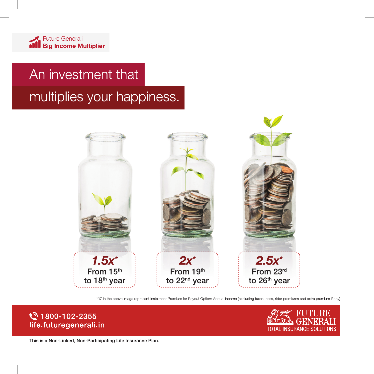# An investment that

multiplies your happiness.



\*'X' in the above image represent Instalment Premium for Payout Option: Annual Income (excluding taxes, cess, rider premiums and extra premium if any)

### ₹ 1800-102-2355 life.futuregenerali.in



This is a Non-Linked, Non-Participating Life Insurance Plan.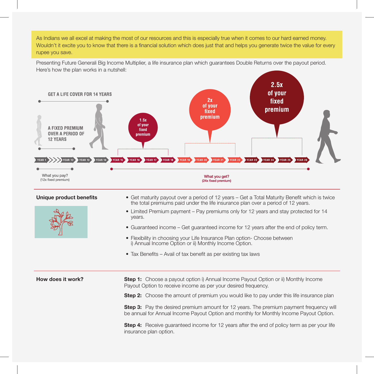As Indians we all excel at making the most of our resources and this is especially true when it comes to our hard earned money. Wouldn't it excite you to know that there is a financial solution which does just that and helps you generate twice the value for every rupee you save.

Presenting Future Generali Big Income Multiplier, a life insurance plan which guarantees Double Returns over the payout period. Here's how the plan works in a nutshell:





- **Unique product benefits** Get maturity payout over a period of 12 years Get a Total Maturity Benefit which is twice the total premiums paid under the life insurance plan over a period of 12 years.
	- Limited Premium payment Pay premiums only for 12 years and stay protected for 14 years.
	- Guaranteed income Get guaranteed income for 12 years after the end of policy term.
	- Flexibility in choosing your Life Insurance Plan option- Choose between i) Annual Income Option or ii) Monthly Income Option.
	- Tax Benefits Avail of tax benefit as per existing tax laws

**How does it work?** Step 1: Choose a payout option i) Annual Income Payout Option or ii) Monthly Income Payout Option to receive income as per your desired frequency.

**Step 2:** Choose the amount of premium you would like to pay under this life insurance plan

**Step 3:** Pay the desired premium amount for 12 years. The premium payment frequency will be annual for Annual Income Payout Option and monthly for Monthly Income Payout Option.

**Step 4:** Receive guaranteed income for 12 years after the end of policy term as per your life insurance plan option.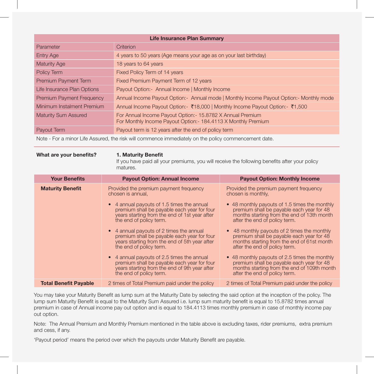| <b>Life Insurance Plan Summary</b> |                                                                                                                               |  |
|------------------------------------|-------------------------------------------------------------------------------------------------------------------------------|--|
| Parameter                          | Criterion                                                                                                                     |  |
| <b>Entry Age</b>                   | 4 years to 50 years (Age means your age as on your last birthday)                                                             |  |
| <b>Maturity Age</b>                | 18 years to 64 years                                                                                                          |  |
| Policy Term                        | Fixed Policy Term of 14 years                                                                                                 |  |
| Premium Payment Term               | Fixed Premium Payment Term of 12 years                                                                                        |  |
| Life Insurance Plan Options        | Payout Option: - Annual Income   Monthly Income                                                                               |  |
| <b>Premium Payment Frequency</b>   | Annual Income Payout Option: Annual mode   Monthly Income Payout Option: Monthly mode                                         |  |
| Minimum Instalment Premium         | Annual Income Payout Option: ₹18,000   Monthly Income Payout Option: ₹1,500                                                   |  |
| <b>Maturity Sum Assured</b>        | For Annual Income Payout Option: - 15.8782 X Annual Premium<br>For Monthly Income Payout Option: - 184.4113 X Monthly Premium |  |
| Payout Term                        | Payout term is 12 years after the end of policy term                                                                          |  |
|                                    |                                                                                                                               |  |

Note - For a minor Life Assured, the risk will commence immediately on the policy commencement date.

### What are your benefits? 1. Maturity Benefit

If you have paid all your premiums, you will receive the following benefits after your policy matures.

| <b>Your Benefits</b>         | <b>Payout Option: Annual Income</b>                                                                                                                                   | <b>Payout Option: Monthly Income</b>                                                                                                                                       |
|------------------------------|-----------------------------------------------------------------------------------------------------------------------------------------------------------------------|----------------------------------------------------------------------------------------------------------------------------------------------------------------------------|
| <b>Maturity Benefit</b>      | Provided the premium payment frequency<br>chosen is annual,                                                                                                           | Provided the premium payment frequency<br>chosen is monthly,                                                                                                               |
|                              | • 4 annual payouts of 1.5 times the annual<br>premium shall be payable each year for four<br>years starting from the end of 1st year after<br>the end of policy term. | • 48 monthly payouts of 1.5 times the monthly<br>premium shall be payable each year for 48<br>months starting from the end of 13th month<br>after the end of policy term.  |
|                              | • 4 annual payouts of 2 times the annual<br>premium shall be payable each year for four<br>years starting from the end of 5th year after<br>the end of policy term.   | • 48 monthly payouts of 2 times the monthly<br>premium shall be payable each year for 48<br>months starting from the end of 61st month<br>after the end of policy term.    |
|                              | • 4 annual payouts of 2.5 times the annual<br>premium shall be payable each year for four<br>years starting from the end of 9th year after<br>the end of policy term. | • 48 monthly payouts of 2.5 times the monthly<br>premium shall be payable each year for 48<br>months starting from the end of 109th month<br>after the end of policy term. |
| <b>Total Benefit Payable</b> | 2 times of Total Premium paid under the policy                                                                                                                        | 2 times of Total Premium paid under the policy                                                                                                                             |

You may take your Maturity Benefit as lump sum at the Maturity Date by selecting the said option at the inception of the policy. The lump sum Maturity Benefit is equal to the Maturity Sum Assured i.e. lump sum maturity benefit is equal to 15.8782 times annual premium in case of Annual income pay out option and is equal to 184.4113 times monthly premium in case of monthly income pay out option.

Note: The Annual Premium and Monthly Premium mentioned in the table above is excluding taxes, rider premiums, extra premium and cess, if any.

'Payout period' means the period over which the payouts under Maturity Benefit are payable.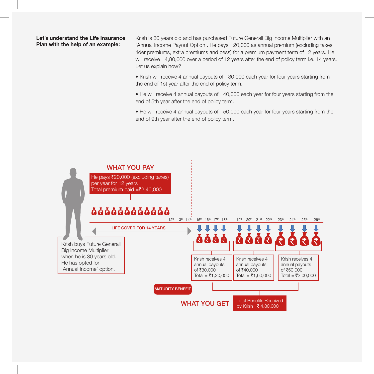### Let's understand the Life Insurance Plan with the help of an example:

Krish is 30 years old and has purchased Future Generali Big Income Multiplier with an 'Annual Income Payout Option'. He pays 20,000 as annual premium (excluding taxes, rider premiums, extra premiums and cess) for a premium payment term of 12 years. He will receive 4,80,000 over a period of 12 years after the end of policy term i.e. 14 years. Let us explain how?

• Krish will receive 4 annual payouts of 30,000 each year for four years starting from the end of 1st year after the end of policy term.

• He will receive 4 annual payouts of 40,000 each year for four years starting from the end of 5th year after the end of policy term.

• He will receive 4 annual payouts of 50,000 each year for four years starting from the end of 9th year after the end of policy term.

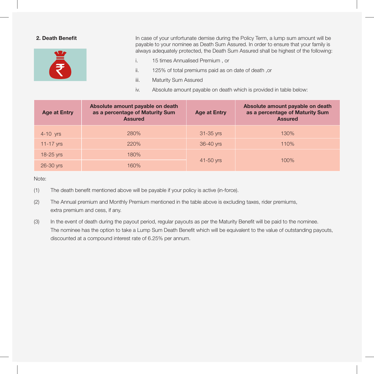

2. Death Benefit **In case of your unfortunate demise during the Policy Term, a lump sum amount will be** payable to your nominee as Death Sum Assured. In order to ensure that your family is always adequately protected, the Death Sum Assured shall be highest of the following:

- i. 15 times Annualised Premium, or
- ii. 125% of total premiums paid as on date of death , or
- iii. Maturity Sum Assured
- iv. Absolute amount payable on death which is provided in table below:

| <b>Age at Entry</b> | Absolute amount payable on death<br>as a percentage of Maturity Sum<br><b>Assured</b> | <b>Age at Entry</b> | Absolute amount payable on death<br>as a percentage of Maturity Sum<br><b>Assured</b> |
|---------------------|---------------------------------------------------------------------------------------|---------------------|---------------------------------------------------------------------------------------|
| $4-10$ yrs          | 280%                                                                                  | $31 - 35$ yrs       | 130%                                                                                  |
| $11-17$ yrs         | 220%                                                                                  | 36-40 yrs           | 110%                                                                                  |
| 18-25 yrs           | 180%                                                                                  |                     |                                                                                       |
| 26-30 yrs           | 160%                                                                                  | 100%<br>41-50 yrs   |                                                                                       |

Note:

- (1) The death benefit mentioned above will be payable if your policy is active (in-force).
- (2) The Annual premium and Monthly Premium mentioned in the table above is excluding taxes, rider premiums, extra premium and cess, if any.
- (3) In the event of death during the payout period, regular payouts as per the Maturity Benefit will be paid to the nominee. The nominee has the option to take a Lump Sum Death Benefit which will be equivalent to the value of outstanding payouts, discounted at a compound interest rate of 6.25% per annum.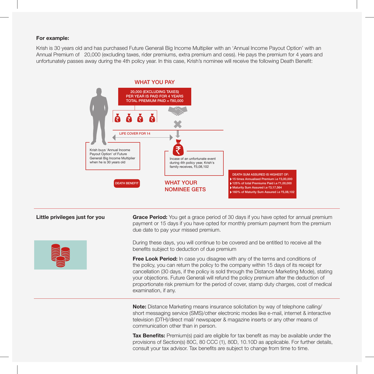### For example:

Krish is 30 years old and has purchased Future Generali Big Income Multiplier with an 'Annual Income Payout Option' with an Annual Premium of 20,000 (excluding taxes, rider premiums, extra premium and cess). He pays the premium for 4 years and unfortunately passes away during the 4th policy year. In this case, Krish's nominee will receive the following Death Benefit:



Little privileges just for you Grace Period: You get a grace period of 30 days if you have opted for annual premium payment or 15 days if you have opted for monthly premium payment from the premium due date to pay your missed premium.

> During these days, you will continue to be covered and be entitled to receive all the benefits subject to deduction of due premium

**Free Look Period:** In case you disagree with any of the terms and conditions of the policy, you can return the policy to the company within 15 days of its receipt for cancellation (30 days, if the policy is sold through the Distance Marketing Mode), stating your objections. Future Generali will refund the policy premium after the deduction of proportionate risk premium for the period of cover, stamp duty charges, cost of medical examination, if any.

**Note:** Distance Marketing means insurance solicitation by way of telephone calling/ short messaging service (SMS)/other electronic modes like e-mail, internet & interactive television (DTH)/direct mail/ newspaper & magazine inserts or any other means of communication other than in person.

**Tax Benefits:** Premium(s) paid are eligible for tax benefit as may be available under the provisions of Section(s) 80C, 80 CCC (1), 80D, 10.10D as applicable. For further details, consult your tax advisor. Tax benefits are subject to change from time to time.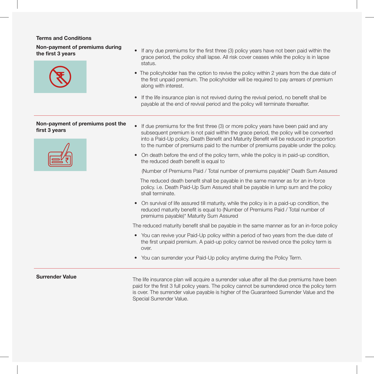### Terms and Conditions

Non-payment of premiums during



- **the first 3 years If any due premiums for the first three (3) policy years have not been paid within the the first 3 years** grace period, the policy shall lapse. All risk cover ceases while the policy is in lapse status.
	- The policyholder has the option to revive the policy within 2 years from the due date of the first unpaid premium. The policyholder will be required to pay arrears of premium along with interest.
	- If the life insurance plan is not revived during the revival period, no benefit shall be payable at the end of revival period and the policy will terminate thereafter.

## Non-payment of premiums post the



- **Non-payment of premiums post the •** If due premiums for the first three (3) or more policy years have been paid and any **first 3 years** subsequent premium is not paid within the grace period, the policy will be converted into a Paid-Up policy. Death Benefit and Maturity Benefit will be reduced in proportion to the number of premiums paid to the number of premiums payable under the policy.
	- On death before the end of the policy term, while the policy is in paid-up condition, the reduced death benefit is equal to

(Number of Premiums Paid / Total number of premiums payable)\* Death Sum Assured

 The reduced death benefit shall be payable in the same manner as for an in-force policy. i.e. Death Paid-Up Sum Assured shall be payable in lump sum and the policy shall terminate.

• On survival of life assured till maturity, while the policy is in a paid-up condition, the reduced maturity benefit is equal to (Number of Premiums Paid / Total number of premiums payable)\* Maturity Sum Assured

The reduced maturity benefit shall be payable in the same manner as for an in-force policy

- You can revive your Paid-Up policy within a period of two years from the due date of the first unpaid premium. A paid-up policy cannot be revived once the policy term is over.
- You can surrender your Paid-Up policy anytime during the Policy Term.

**Surrender Value**<br>The life insurance plan will acquire a surrender value after all the due premiums have been paid for the first 3 full policy years. The policy cannot be surrendered once the policy term is over. The surrender value payable is higher of the Guaranteed Surrender Value and the Special Surrender Value.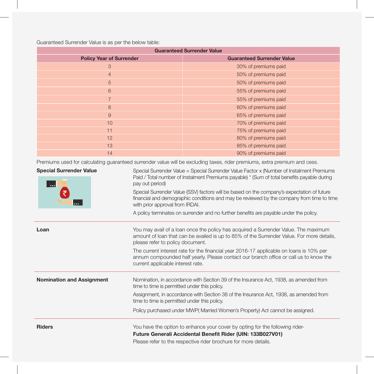Guaranteed Surrender Value is as per the below table:

| <b>Guaranteed Surrender Value</b>                                                                                        |                                   |  |  |  |
|--------------------------------------------------------------------------------------------------------------------------|-----------------------------------|--|--|--|
| <b>Policy Year of Surrender</b>                                                                                          | <b>Guaranteed Surrender Value</b> |  |  |  |
| 3                                                                                                                        | 30% of premiums paid              |  |  |  |
| $\overline{4}$                                                                                                           | 50% of premiums paid              |  |  |  |
| 5                                                                                                                        | 50% of premiums paid              |  |  |  |
| 6                                                                                                                        | 55% of premiums paid              |  |  |  |
| $\overline{7}$                                                                                                           | 55% of premiums paid              |  |  |  |
| 8                                                                                                                        | 60% of premiums paid              |  |  |  |
| $\overline{9}$                                                                                                           | 65% of premiums paid              |  |  |  |
| 10                                                                                                                       | 70% of premiums paid              |  |  |  |
| 11                                                                                                                       | 75% of premiums paid              |  |  |  |
| 12                                                                                                                       | 80% of premiums paid              |  |  |  |
| 13                                                                                                                       | 85% of premiums paid              |  |  |  |
| 14                                                                                                                       | 90% of premiums paid              |  |  |  |
| Promiume used for calculating quaranteed surrender value will be excluding taxes, rider promiums, extra promium and coss |                                   |  |  |  |

Premiums used for calculating guaranteed surrender value will be excluding taxes, rider premiums, extra premium and cess.

| <b>Special Surrender Value</b><br>$\bullet\bullet\bullet$ | Special Surrender Value = Special Surrender Value Factor x (Number of Instalment Premiums<br>Paid / Total number of Instalment Premiums payable) * (Sum of total benefits payable during<br>pay out period)<br>Special Surrender Value (SSV) factors will be based on the company's expectation of future<br>financial and demographic conditions and may be reviewed by the company from time to time<br>with prior approval from IRDAI. |  |  |
|-----------------------------------------------------------|-------------------------------------------------------------------------------------------------------------------------------------------------------------------------------------------------------------------------------------------------------------------------------------------------------------------------------------------------------------------------------------------------------------------------------------------|--|--|
| $\cdots$                                                  |                                                                                                                                                                                                                                                                                                                                                                                                                                           |  |  |
|                                                           | A policy terminates on surrender and no further benefits are payable under the policy.                                                                                                                                                                                                                                                                                                                                                    |  |  |
| Loan                                                      | You may avail of a loan once the policy has acquired a Surrender Value. The maximum<br>amount of loan that can be availed is up to 85% of the Surrender Value. For more details,<br>please refer to policy document.                                                                                                                                                                                                                      |  |  |
|                                                           | The current interest rate for the financial year 2016-17 applicable on loans is 10% per<br>annum compounded half yearly. Please contact our branch office or call us to know the<br>current applicable interest rate.                                                                                                                                                                                                                     |  |  |
| <b>Nomination and Assignment</b>                          | Nomination, in accordance with Section 39 of the Insurance Act, 1938, as amended from<br>time to time is permitted under this policy.                                                                                                                                                                                                                                                                                                     |  |  |
|                                                           | Assignment, in accordance with Section 38 of the Insurance Act, 1938, as amended from<br>time to time is permitted under this policy.                                                                                                                                                                                                                                                                                                     |  |  |
|                                                           | Policy purchased under MWP(Married Women's Property) Act cannot be assigned.                                                                                                                                                                                                                                                                                                                                                              |  |  |
| <b>Riders</b>                                             | You have the option to enhance your cover by opting for the following rider-                                                                                                                                                                                                                                                                                                                                                              |  |  |
|                                                           | Future Generali Accidental Benefit Rider (UIN: 133B027V01)                                                                                                                                                                                                                                                                                                                                                                                |  |  |
|                                                           | Please refer to the respective rider brochure for more details.                                                                                                                                                                                                                                                                                                                                                                           |  |  |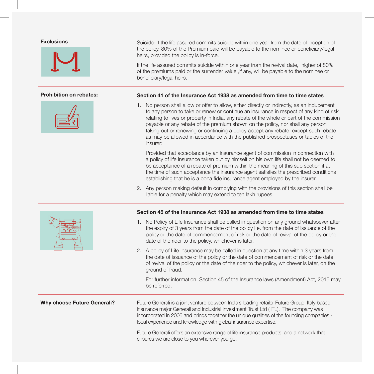



**Exclusions** Suicide: If the life assured commits suicide within one year from the date of inception of the policy, 80% of the Premium paid will be payable to the nominee or beneficiary/legal heirs, provided the policy is in-force.

> If the life assured commits suicide within one year from the revival date, higher of 80% of the premiums paid or the surrender value ,if any, will be payable to the nominee or beneficiary/legal heirs.

### Prohibition on rebates: Section 41 of the Insurance Act 1938 as amended from time to time states

1. No person shall allow or offer to allow, either directly or indirectly, as an inducement to any person to take or renew or continue an insurance in respect of any kind of risk relating to lives or property in India, any rebate of the whole or part of the commission payable or any rebate of the premium shown on the policy, nor shall any person taking out or renewing or continuing a policy accept any rebate, except such rebate as may be allowed in accordance with the published prospectuses or tables of the insurer:

 Provided that acceptance by an insurance agent of commission in connection with a policy of life insurance taken out by himself on his own life shall not be deemed to be acceptance of a rebate of premium within the meaning of this sub section if at the time of such acceptance the insurance agent satisfies the prescribed conditions establishing that he is a bona fide insurance agent employed by the insurer.

2. Any person making default in complying with the provisions of this section shall be liable for a penalty which may extend to ten lakh rupees.

### Section 45 of the Insurance Act 1938 as amended from time to time states

- 1. No Policy of Life Insurance shall be called in question on any ground whatsoever after the expiry of 3 years from the date of the policy i.e. from the date of issuance of the policy or the date of commencement of risk or the date of revival of the policy or the date of the rider to the policy, whichever is later.
- 2. A policy of Life Insurance may be called in question at any time within 3 years from the date of issuance of the policy or the date of commencement of risk or the date of revival of the policy or the date of the rider to the policy, whichever is later, on the ground of fraud.

 For further information, Section 45 of the Insurance laws (Amendment) Act, 2015 may be referred.

Why choose Future Generali? Future Generali is a joint venture between India's leading retailer Future Group, Italy based insurance major Generali and Industrial Investment Trust Ltd (IITL). The company was incorporated in 2006 and brings together the unique qualities of the founding companies local experience and knowledge with global insurance expertise.

> Future Generali offers an extensive range of life insurance products, and a network that ensures we are close to you wherever you go.